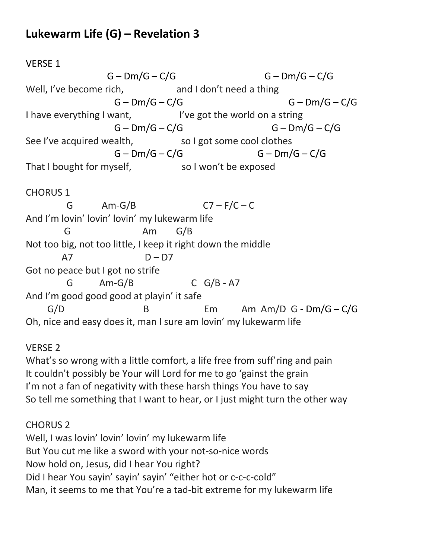## **Lukewarm Life (G) – Revelation 3**

## VERSE 1

 $G - Dm/G - C/G$   $G - Dm/G - C/G$ Well, I've become rich, and I don't need a thing  $G - Dm/G - C/G$   $G - Dm/G - C/G$ I have everything I want, I've got the world on a string  $G - Dm/G - C/G$   $G - Dm/G - C/G$ See I've acquired wealth, so I got some cool clothes  $G - Dm/G - C/G$   $G - Dm/G - C/G$ That I bought for myself, so I won't be exposed CHORUS 1 G  $Am-G/B$   $C7-F/C-C$ And I'm lovin' lovin' lovin' my lukewarm life G Am G/B Not too big, not too little, I keep it right down the middle  $A7$  D – D7 Got no peace but I got no strife  $G$  Am-G/B  $C$  G/B - A7 And I'm good good good at playin' it safe  $G/D$  B Em Am  $Am/D$   $G - Dm/G - C/G$ Oh, nice and easy does it, man I sure am lovin' my lukewarm life

## VERSE 2

What's so wrong with a little comfort, a life free from suff'ring and pain It couldn't possibly be Your will Lord for me to go 'gainst the grain I'm not a fan of negativity with these harsh things You have to say So tell me something that I want to hear, or I just might turn the other way

## CHORUS 2

Well, I was lovin' lovin' lovin' my lukewarm life But You cut me like a sword with your not-so-nice words Now hold on, Jesus, did I hear You right? Did I hear You sayin' sayin' sayin' "either hot or c-c-c-cold" Man, it seems to me that You're a tad-bit extreme for my lukewarm life